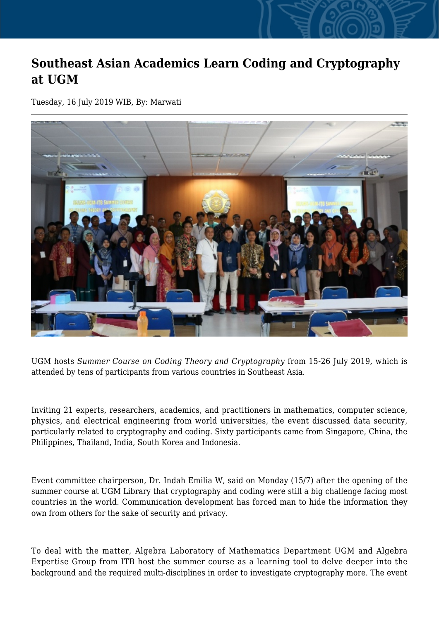## **Southeast Asian Academics Learn Coding and Cryptography at UGM**

Tuesday, 16 July 2019 WIB, By: Marwati



UGM hosts *Summer Course on Coding Theory and Cryptography* from 15-26 July 2019, which is attended by tens of participants from various countries in Southeast Asia.

Inviting 21 experts, researchers, academics, and practitioners in mathematics, computer science, physics, and electrical engineering from world universities, the event discussed data security, particularly related to cryptography and coding. Sixty participants came from Singapore, China, the Philippines, Thailand, India, South Korea and Indonesia.

Event committee chairperson, Dr. Indah Emilia W, said on Monday (15/7) after the opening of the summer course at UGM Library that cryptography and coding were still a big challenge facing most countries in the world. Communication development has forced man to hide the information they own from others for the sake of security and privacy.

To deal with the matter, Algebra Laboratory of Mathematics Department UGM and Algebra Expertise Group from ITB host the summer course as a learning tool to delve deeper into the background and the required multi-disciplines in order to investigate cryptography more. The event